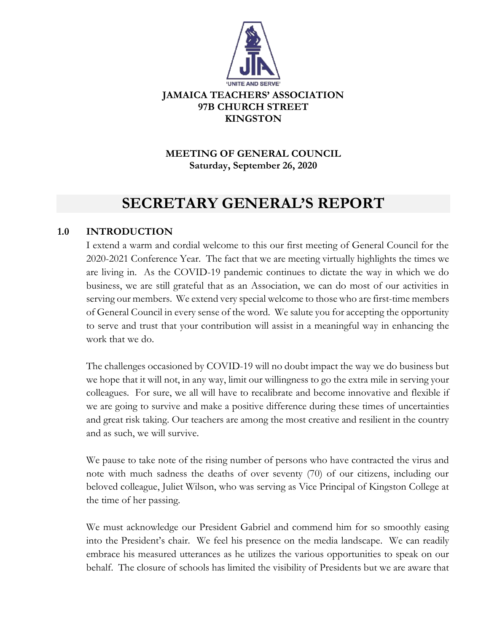

# **MEETING OF GENERAL COUNCIL Saturday, September 26, 2020**

# **SECRETARY GENERAL'S REPORT**

## **1.0 INTRODUCTION**

I extend a warm and cordial welcome to this our first meeting of General Council for the 2020-2021 Conference Year. The fact that we are meeting virtually highlights the times we are living in. As the COVID-19 pandemic continues to dictate the way in which we do business, we are still grateful that as an Association, we can do most of our activities in serving our members. We extend very special welcome to those who are first-time members of General Council in every sense of the word. We salute you for accepting the opportunity to serve and trust that your contribution will assist in a meaningful way in enhancing the work that we do.

The challenges occasioned by COVID-19 will no doubt impact the way we do business but we hope that it will not, in any way, limit our willingness to go the extra mile in serving your colleagues. For sure, we all will have to recalibrate and become innovative and flexible if we are going to survive and make a positive difference during these times of uncertainties and great risk taking. Our teachers are among the most creative and resilient in the country and as such, we will survive.

We pause to take note of the rising number of persons who have contracted the virus and note with much sadness the deaths of over seventy (70) of our citizens, including our beloved colleague, Juliet Wilson, who was serving as Vice Principal of Kingston College at the time of her passing.

We must acknowledge our President Gabriel and commend him for so smoothly easing into the President's chair. We feel his presence on the media landscape. We can readily embrace his measured utterances as he utilizes the various opportunities to speak on our behalf. The closure of schools has limited the visibility of Presidents but we are aware that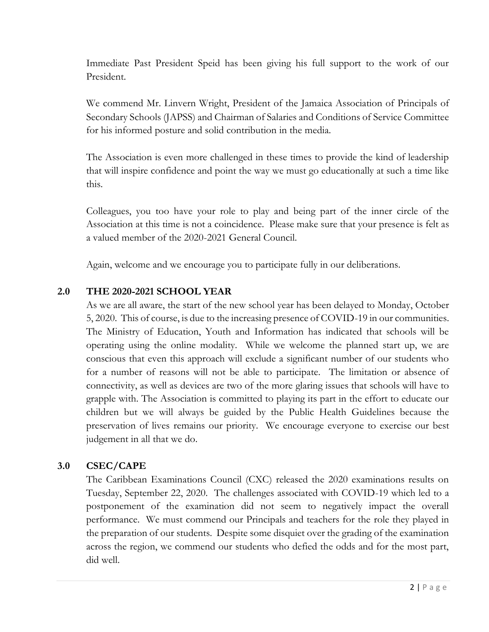Immediate Past President Speid has been giving his full support to the work of our President.

We commend Mr. Linvern Wright, President of the Jamaica Association of Principals of Secondary Schools (JAPSS) and Chairman of Salaries and Conditions of Service Committee for his informed posture and solid contribution in the media.

The Association is even more challenged in these times to provide the kind of leadership that will inspire confidence and point the way we must go educationally at such a time like this.

Colleagues, you too have your role to play and being part of the inner circle of the Association at this time is not a coincidence. Please make sure that your presence is felt as a valued member of the 2020-2021 General Council.

Again, welcome and we encourage you to participate fully in our deliberations.

## **2.0 THE 2020-2021 SCHOOL YEAR**

As we are all aware, the start of the new school year has been delayed to Monday, October 5, 2020. This of course, is due to the increasing presence of COVID-19 in our communities. The Ministry of Education, Youth and Information has indicated that schools will be operating using the online modality. While we welcome the planned start up, we are conscious that even this approach will exclude a significant number of our students who for a number of reasons will not be able to participate. The limitation or absence of connectivity, as well as devices are two of the more glaring issues that schools will have to grapple with. The Association is committed to playing its part in the effort to educate our children but we will always be guided by the Public Health Guidelines because the preservation of lives remains our priority. We encourage everyone to exercise our best judgement in all that we do.

## **3.0 CSEC/CAPE**

The Caribbean Examinations Council (CXC) released the 2020 examinations results on Tuesday, September 22, 2020. The challenges associated with COVID-19 which led to a postponement of the examination did not seem to negatively impact the overall performance. We must commend our Principals and teachers for the role they played in the preparation of our students. Despite some disquiet over the grading of the examination across the region, we commend our students who defied the odds and for the most part, did well.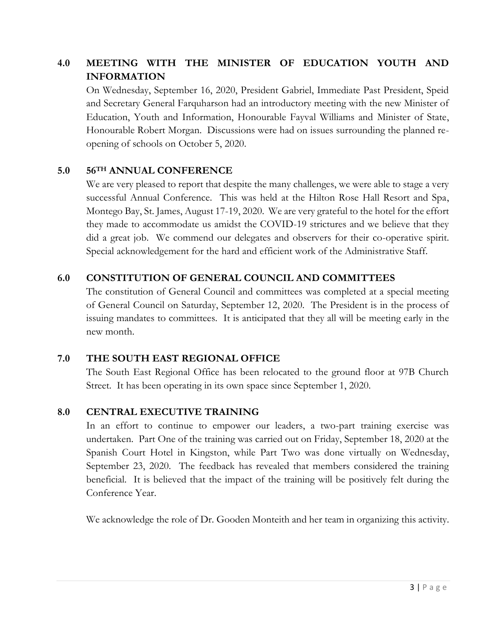# **4.0 MEETING WITH THE MINISTER OF EDUCATION YOUTH AND INFORMATION**

On Wednesday, September 16, 2020, President Gabriel, Immediate Past President, Speid and Secretary General Farquharson had an introductory meeting with the new Minister of Education, Youth and Information, Honourable Fayval Williams and Minister of State, Honourable Robert Morgan. Discussions were had on issues surrounding the planned reopening of schools on October 5, 2020.

#### **5.0 56TH ANNUAL CONFERENCE**

We are very pleased to report that despite the many challenges, we were able to stage a very successful Annual Conference. This was held at the Hilton Rose Hall Resort and Spa, Montego Bay, St. James, August 17-19, 2020. We are very grateful to the hotel for the effort they made to accommodate us amidst the COVID-19 strictures and we believe that they did a great job. We commend our delegates and observers for their co-operative spirit. Special acknowledgement for the hard and efficient work of the Administrative Staff.

## **6.0 CONSTITUTION OF GENERAL COUNCIL AND COMMITTEES**

The constitution of General Council and committees was completed at a special meeting of General Council on Saturday, September 12, 2020. The President is in the process of issuing mandates to committees. It is anticipated that they all will be meeting early in the new month.

## **7.0 THE SOUTH EAST REGIONAL OFFICE**

The South East Regional Office has been relocated to the ground floor at 97B Church Street. It has been operating in its own space since September 1, 2020.

## **8.0 CENTRAL EXECUTIVE TRAINING**

In an effort to continue to empower our leaders, a two-part training exercise was undertaken. Part One of the training was carried out on Friday, September 18, 2020 at the Spanish Court Hotel in Kingston, while Part Two was done virtually on Wednesday, September 23, 2020. The feedback has revealed that members considered the training beneficial. It is believed that the impact of the training will be positively felt during the Conference Year.

We acknowledge the role of Dr. Gooden Monteith and her team in organizing this activity.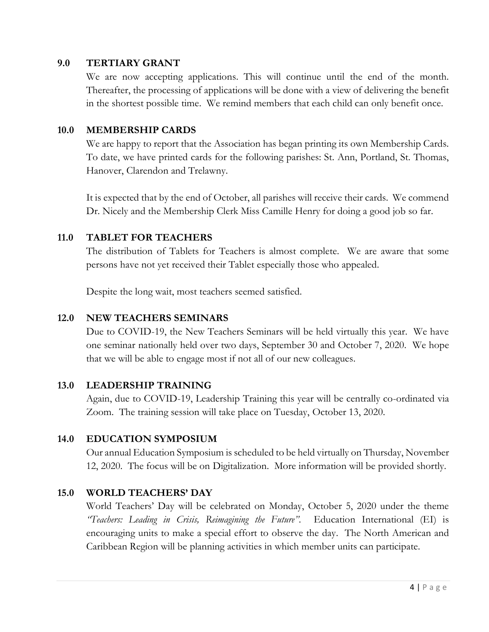#### **9.0 TERTIARY GRANT**

We are now accepting applications. This will continue until the end of the month. Thereafter, the processing of applications will be done with a view of delivering the benefit in the shortest possible time. We remind members that each child can only benefit once.

#### **10.0 MEMBERSHIP CARDS**

We are happy to report that the Association has began printing its own Membership Cards. To date, we have printed cards for the following parishes: St. Ann, Portland, St. Thomas, Hanover, Clarendon and Trelawny.

It is expected that by the end of October, all parishes will receive their cards. We commend Dr. Nicely and the Membership Clerk Miss Camille Henry for doing a good job so far.

## **11.0 TABLET FOR TEACHERS**

The distribution of Tablets for Teachers is almost complete. We are aware that some persons have not yet received their Tablet especially those who appealed.

Despite the long wait, most teachers seemed satisfied.

## **12.0 NEW TEACHERS SEMINARS**

Due to COVID-19, the New Teachers Seminars will be held virtually this year. We have one seminar nationally held over two days, September 30 and October 7, 2020. We hope that we will be able to engage most if not all of our new colleagues.

## **13.0 LEADERSHIP TRAINING**

Again, due to COVID-19, Leadership Training this year will be centrally co-ordinated via Zoom. The training session will take place on Tuesday, October 13, 2020.

## **14.0 EDUCATION SYMPOSIUM**

Our annual Education Symposium is scheduled to be held virtually on Thursday, November 12, 2020. The focus will be on Digitalization. More information will be provided shortly.

## **15.0 WORLD TEACHERS' DAY**

World Teachers' Day will be celebrated on Monday, October 5, 2020 under the theme *"Teachers: Leading in Crisis, Reimagining the Future"*. Education International (EI) is encouraging units to make a special effort to observe the day. The North American and Caribbean Region will be planning activities in which member units can participate.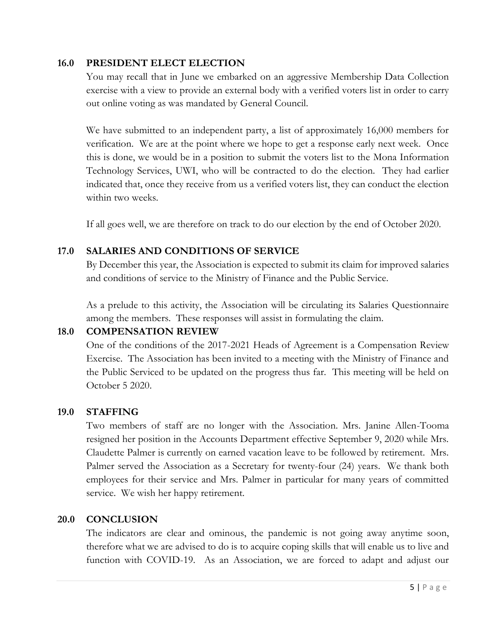#### **16.0 PRESIDENT ELECT ELECTION**

You may recall that in June we embarked on an aggressive Membership Data Collection exercise with a view to provide an external body with a verified voters list in order to carry out online voting as was mandated by General Council.

We have submitted to an independent party, a list of approximately 16,000 members for verification. We are at the point where we hope to get a response early next week. Once this is done, we would be in a position to submit the voters list to the Mona Information Technology Services, UWI, who will be contracted to do the election. They had earlier indicated that, once they receive from us a verified voters list, they can conduct the election within two weeks.

If all goes well, we are therefore on track to do our election by the end of October 2020.

## **17.0 SALARIES AND CONDITIONS OF SERVICE**

By December this year, the Association is expected to submit its claim for improved salaries and conditions of service to the Ministry of Finance and the Public Service.

As a prelude to this activity, the Association will be circulating its Salaries Questionnaire among the members. These responses will assist in formulating the claim.

## **18.0 COMPENSATION REVIEW**

One of the conditions of the 2017-2021 Heads of Agreement is a Compensation Review Exercise. The Association has been invited to a meeting with the Ministry of Finance and the Public Serviced to be updated on the progress thus far. This meeting will be held on October 5 2020.

## **19.0 STAFFING**

Two members of staff are no longer with the Association. Mrs. Janine Allen-Tooma resigned her position in the Accounts Department effective September 9, 2020 while Mrs. Claudette Palmer is currently on earned vacation leave to be followed by retirement. Mrs. Palmer served the Association as a Secretary for twenty-four (24) years. We thank both employees for their service and Mrs. Palmer in particular for many years of committed service. We wish her happy retirement.

#### **20.0 CONCLUSION**

The indicators are clear and ominous, the pandemic is not going away anytime soon, therefore what we are advised to do is to acquire coping skills that will enable us to live and function with COVID-19. As an Association, we are forced to adapt and adjust our